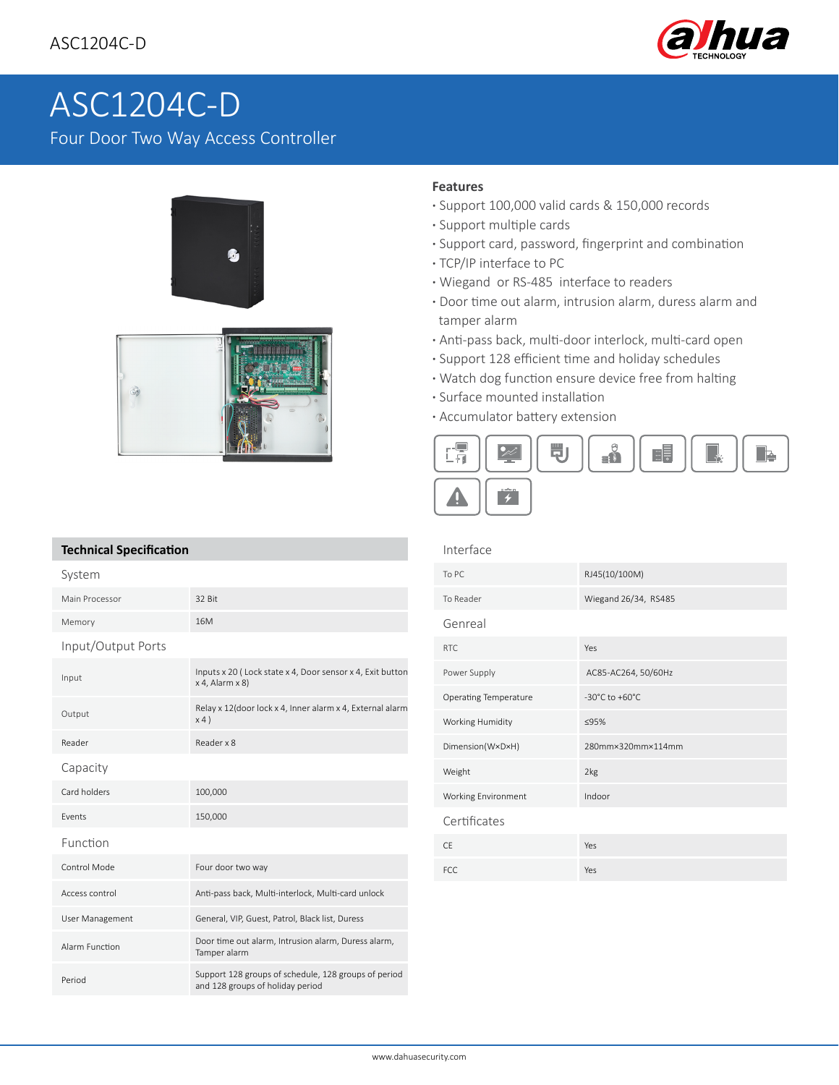

# ASC1204C-D

Four Door Two Way Access Controller



## **Features**

Interface

- **·** Support 100,000 valid cards & 150,000 records
- **·** Support multiple cards
- **·** Support card, password, fingerprint and combination
- **·** TCP/IP interface to PC
- **·** Wiegand or RS-485 interface to readers
- **·** Door time out alarm, intrusion alarm, duress alarm and tamper alarm
- **·** Anti-pass back, multi-door interlock, multi-card open
- **·** Support 128 efficient time and holiday schedules
- **·** Watch dog function ensure device free from halting
- **·** Surface mounted installation
- **·** Accumulator battery extension



# **Technical Specification**

| System             |                                                                                          |
|--------------------|------------------------------------------------------------------------------------------|
| Main Processor     | 32 Bit                                                                                   |
| Memory             | 16M                                                                                      |
| Input/Output Ports |                                                                                          |
| Input              | Inputs x 20 (Lock state x 4, Door sensor x 4, Exit button<br>$x$ 4, Alarm $x$ 8)         |
| Output             | Relay x 12(door lock x 4, Inner alarm x 4, External alarm<br>x4)                         |
| Reader             | Reader x 8                                                                               |
| Capacity           |                                                                                          |
| Card holders       | 100,000                                                                                  |
| <b>Fvents</b>      | 150,000                                                                                  |
| Function           |                                                                                          |
| Control Mode       | Four door two way                                                                        |
| Access control     | Anti-pass back, Multi-interlock, Multi-card unlock                                       |
| User Management    | General, VIP, Guest, Patrol, Black list, Duress                                          |
| Alarm Function     | Door time out alarm, Intrusion alarm, Duress alarm,<br>Tamper alarm                      |
| Period             | Support 128 groups of schedule, 128 groups of period<br>and 128 groups of holiday period |

| <b>ILILEL LACE</b>    |                      |
|-----------------------|----------------------|
| To PC                 | RJ45(10/100M)        |
| To Reader             | Wiegand 26/34, RS485 |
| Genreal               |                      |
| <b>RTC</b>            | Yes                  |
| Power Supply          | AC85-AC264, 50/60Hz  |
| Operating Temperature | -30°C to +60°C       |
| Working Humidity      | ≤95%                 |
| Dimension(WxDxH)      | 280mm×320mm×114mm    |
| Weight                | 2kg                  |
| Working Environment   | Indoor               |
| Certificates          |                      |
| <b>CE</b>             | Yes                  |
| <b>FCC</b>            | Yes                  |